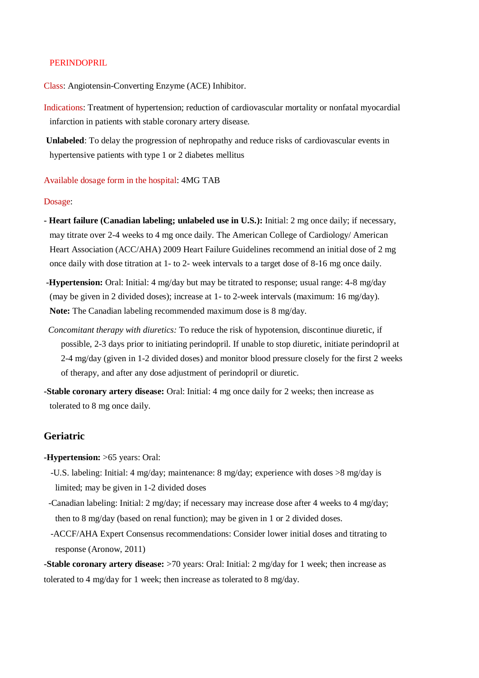#### PERINDOPRIL

Class: Angiotensin-Converting Enzyme (ACE) Inhibitor.

- Indications: Treatment of hypertension; reduction of cardiovascular mortality or nonfatal myocardial infarction in patients with stable coronary artery disease.
- **Unlabeled**: To delay the progression of nephropathy and reduce risks of cardiovascular events in hypertensive patients with type 1 or 2 diabetes mellitus

### Available dosage form in the hospital: 4MG TAB

### Dosage:

- **- Heart failure (Canadian labeling; unlabeled use in U.S.):** Initial: 2 mg once daily; if necessary, may titrate over 2-4 weeks to 4 mg once daily. The American College of Cardiology/ American Heart Association (ACC/AHA) 2009 Heart Failure Guidelines recommend an initial dose of 2 mg once daily with dose titration at 1- to 2- week intervals to a target dose of 8-16 mg once daily.
- **-Hypertension:** Oral: Initial: 4 mg/day but may be titrated to response; usual range: 4-8 mg/day (may be given in 2 divided doses); increase at 1- to 2-week intervals (maximum: 16 mg/day). **Note:** The Canadian labeling recommended maximum dose is 8 mg/day.
- *Concomitant therapy with diuretics:* To reduce the risk of hypotension, discontinue diuretic, if possible, 2-3 days prior to initiating perindopril. If unable to stop diuretic, initiate perindopril at 2-4 mg/day (given in 1-2 divided doses) and monitor blood pressure closely for the first 2 weeks of therapy, and after any dose adjustment of perindopril or diuretic.
- **-Stable coronary artery disease:** Oral: Initial: 4 mg once daily for 2 weeks; then increase as tolerated to 8 mg once daily.

# **Geriatric**

### **-Hypertension:** >65 years: Oral:

- -U.S. labeling: Initial: 4 mg/day; maintenance: 8 mg/day; experience with doses >8 mg/day is limited; may be given in 1-2 divided doses
- -Canadian labeling: Initial: 2 mg/day; if necessary may increase dose after 4 weeks to 4 mg/day; then to 8 mg/day (based on renal function); may be given in 1 or 2 divided doses.
- -ACCF/AHA Expert Consensus recommendations: Consider lower initial doses and titrating to response (Aronow, 2011)

**-Stable coronary artery disease:** >70 years: Oral: Initial: 2 mg/day for 1 week; then increase as tolerated to 4 mg/day for 1 week; then increase as tolerated to 8 mg/day.